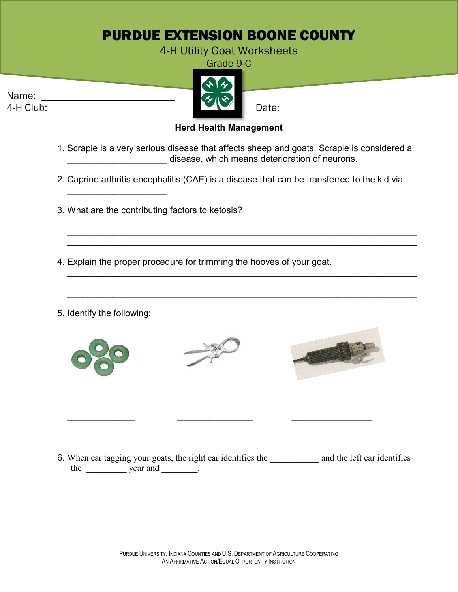## PURDUE EXTENSION BOONE COUNTY

4-H Utility Goat Worksheets

Grade 9-C



## **Herd Health Management**

- 1. Scrapie is a very serious disease that affects sheep and goats. Scrapie is considered a \_\_\_\_\_\_\_\_\_\_\_\_\_\_\_\_\_\_\_\_ disease, which means deterioration of neurons.
- 2. Caprine arthritis encephalitis (CAE) is a disease that can be transferred to the kid via

\_\_\_\_\_\_\_\_\_\_\_\_\_\_\_\_\_\_\_\_\_\_\_\_\_\_\_\_\_\_\_\_\_\_\_\_\_\_\_\_\_\_\_\_\_\_\_\_\_\_\_\_\_\_\_\_\_\_\_\_\_\_\_\_\_\_\_\_\_\_ \_\_\_\_\_\_\_\_\_\_\_\_\_\_\_\_\_\_\_\_\_\_\_\_\_\_\_\_\_\_\_\_\_\_\_\_\_\_\_\_\_\_\_\_\_\_\_\_\_\_\_\_\_\_\_\_\_\_\_\_\_\_\_\_\_\_\_\_\_\_ \_\_\_\_\_\_\_\_\_\_\_\_\_\_\_\_\_\_\_\_\_\_\_\_\_\_\_\_\_\_\_\_\_\_\_\_\_\_\_\_\_\_\_\_\_\_\_\_\_\_\_\_\_\_\_\_\_\_\_\_\_\_\_\_\_\_\_\_\_\_

\_\_\_\_\_\_\_\_\_\_\_\_\_\_\_\_\_\_\_\_\_\_\_\_\_\_\_\_\_\_\_\_\_\_\_\_\_\_\_\_\_\_\_\_\_\_\_\_\_\_\_\_\_\_\_\_\_\_\_\_\_\_\_\_\_\_\_\_\_\_ \_\_\_\_\_\_\_\_\_\_\_\_\_\_\_\_\_\_\_\_\_\_\_\_\_\_\_\_\_\_\_\_\_\_\_\_\_\_\_\_\_\_\_\_\_\_\_\_\_\_\_\_\_\_\_\_\_\_\_\_\_\_\_\_\_\_\_\_\_\_ \_\_\_\_\_\_\_\_\_\_\_\_\_\_\_\_\_\_\_\_\_\_\_\_\_\_\_\_\_\_\_\_\_\_\_\_\_\_\_\_\_\_\_\_\_\_\_\_\_\_\_\_\_\_\_\_\_\_\_\_\_\_\_\_\_\_\_\_\_\_

3. What are the contributing factors to ketosis?

\_\_\_\_\_\_\_\_\_\_\_\_\_\_\_\_\_\_\_\_

- 4. Explain the proper procedure for trimming the hooves of your goat.
- 5. Identify the following:

Name:





**\_\_\_\_\_\_\_\_\_\_\_\_\_\_\_ \_\_\_\_\_\_\_\_\_\_\_\_\_\_\_\_\_ \_\_\_\_\_\_\_\_\_\_\_\_\_\_\_\_\_\_**



6. When ear tagging your goats, the right ear identifies the **\_\_\_\_\_\_\_\_\_\_\_** and the left ear identifies the year and **.**